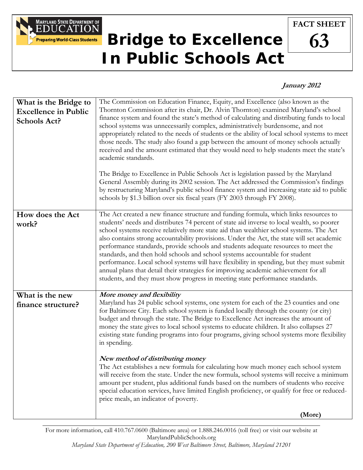

## **Bridge to Excellence In Public Schools Act**

## **FACT SHEET**

## **63**

## **January 2012**

| What is the Bridge to<br><b>Excellence in Public</b><br>Schools Act? | The Commission on Education Finance, Equity, and Excellence (also known as the<br>Thornton Commission after its chair, Dr. Alvin Thornton) examined Maryland's school<br>finance system and found the state's method of calculating and distributing funds to local<br>school systems was unnecessarily complex, administratively burdensome, and not<br>appropriately related to the needs of students or the ability of local school systems to meet<br>those needs. The study also found a gap between the amount of money schools actually<br>received and the amount estimated that they would need to help students meet the state's<br>academic standards.<br>The Bridge to Excellence in Public Schools Act is legislation passed by the Maryland<br>General Assembly during its 2002 session. The Act addressed the Commission's findings<br>by restructuring Maryland's public school finance system and increasing state aid to public<br>schools by \$1.3 billion over six fiscal years (FY 2003 through FY 2008). |
|----------------------------------------------------------------------|--------------------------------------------------------------------------------------------------------------------------------------------------------------------------------------------------------------------------------------------------------------------------------------------------------------------------------------------------------------------------------------------------------------------------------------------------------------------------------------------------------------------------------------------------------------------------------------------------------------------------------------------------------------------------------------------------------------------------------------------------------------------------------------------------------------------------------------------------------------------------------------------------------------------------------------------------------------------------------------------------------------------------------|
| How does the Act<br>work?                                            | The Act created a new finance structure and funding formula, which links resources to<br>students' needs and distributes 74 percent of state aid inverse to local wealth, so poorer<br>school systems receive relatively more state aid than wealthier school systems. The Act<br>also contains strong accountability provisions. Under the Act, the state will set academic<br>performance standards, provide schools and students adequate resources to meet the<br>standards, and then hold schools and school systems accountable for student<br>performance. Local school systems will have flexibility in spending, but they must submit<br>annual plans that detail their strategies for improving academic achievement for all<br>students, and they must show progress in meeting state performance standards.                                                                                                                                                                                                        |
| What is the new<br>finance structure?                                | More money and flexibility<br>Maryland has 24 public school systems, one system for each of the 23 counties and one<br>for Baltimore City. Each school system is funded locally through the county (or city)<br>budget and through the state. The Bridge to Excellence Act increases the amount of<br>money the state gives to local school systems to educate children. It also collapses 27<br>existing state funding programs into four programs, giving school systems more flexibility<br>in spending.<br>New method of distributing money<br>The Act establishes a new formula for calculating how much money each school system<br>will receive from the state. Under the new formula, school systems will receive a minimum<br>amount per student, plus additional funds based on the numbers of students who receive<br>special education services, have limited English proficiency, or qualify for free or reduced-<br>price meals, an indicator of poverty.                                                        |
|                                                                      | (More)                                                                                                                                                                                                                                                                                                                                                                                                                                                                                                                                                                                                                                                                                                                                                                                                                                                                                                                                                                                                                         |